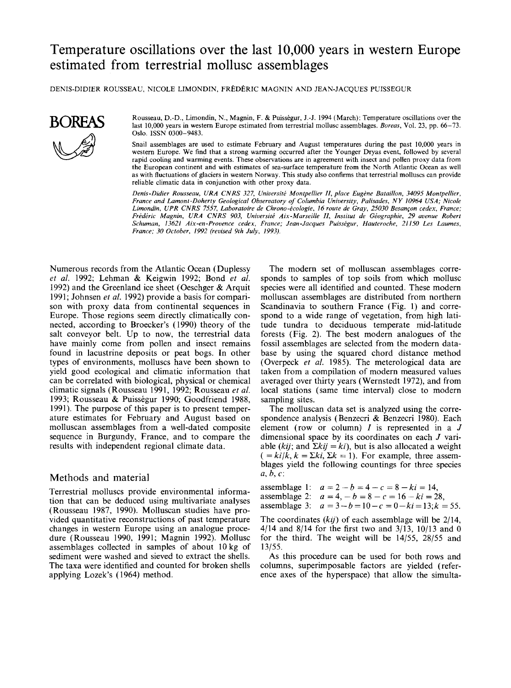# Temperature oscillations over the last 10,000 years in western Europe estimated from terrestrial mollusc assemblages

DENIS-DIDIER ROUSSEAU, NICOLE LIMONDIN, FREDERIC MAGNIN AND JEAN-JACQUES PUISSEGUR



**BOREAS** Rousseau, D.-D., Limondin, N., Magnin, F. & Puisségur, J.-J. 1994 (March): Temperature oscillations over the last 10,000 years in western Europe estimated from terrestrial mollusc assemblages. *Boreas*, Vol. 23, p **A** Oslo. ISSN 0300-9483.

> Snail assemblages are **used** to estimate February and August temperatures during the past 10,000 years in western Europe. We find that a strong warming occurred after the Younger Dryas event, followed by several rapid cooling and warming events. These observations are in agreement with insect and pollen proxy data from the European continent and with estimates of sea-surface temperature from the North Atlantic Ocean as well as with fluctuations of glaciers in western Norway. This study also confirms that terrestrial molluscs can provide reliable climatic data in conjunction with other proxy data.

> *Denis-Didier Rousseau, (IRA CNRS 327, Universiti Montpellier II, place Eugkne Ba taillon, 34095 Montpellier, France and Lamont -Doherty Geological Observatory of Columbia University, Palisades, N Y 10964 USA; Nicole*  Limondin, UPR CNRS 7557, Laboratoire de Chrono-écologie, 16 route de Gray, 25030 Besançon cedex, France; *Frederic Magnin, URA CNRS 903, Uniuersiti Aix-Marseille II, Institut de Giographie, 29 avenue Robert Schuman, 13621 Aix-en-Provence cedex, France; Jean-Jacques Puisskgur, Hauteroche, 21 150 Les Laumes, France; 30 October, 1992 (revised 91h July, 1993).*

Numerous records from the Atlantic Ocean (Duplessy *et al.* 1992; Lehman & Keigwin 1992; Bond *et al.*  1992) and the Greenland ice sheet (Oeschger & Arquit 1991; Johnsen *et al.* 1992) provide a basis for comparison with proxy data from continental sequences in Europe. Those regions seem directly climatically connected, according to Broecker's (1990) theory of the salt conveyor belt. Up to now, the terrestrial data have mainly come from pollen and insect remains found in lacustrine deposits or peat bogs. In other types of environments, molluscs have been shown to yield good ecological and climatic information that can be correlated with biological, physical or chemical climatic signals (Rousseau 1991, 1992; Rousseau *et al.*  1993; Rousseau & Puissegur 1990; Goodfriend 1988, 1991). The purpose of this paper is to present temperature estimates for February and August based on molluscan assemblages from a well-dated composite sequence in Burgundy, France, and to compare the results with independent regional climate data.

## Methods and material

Terrestrial molluscs provide environmental information that can be deduced using multivariate analyses (Rousseau 1987, 1990). Molluscan studies have provided quantitative reconstructions of past temperature changes in western Europe using an analogue procedure (Rousseau 1990, 1991; Magnin 1992). Mollusc assemblages collected in samples of about 10 kg of sediment were washed and sieved to extract the shells. The taxa were identified and counted for broken shells applying Lozek's (1964) method.

The modern set of molluscan assemblages corresponds to samples of top soils from which mollusc species were all identified and counted. These modern molluscan assemblages are distributed from northern Scandinavia to southern France (Fig. 1) and correspond to a wide range of vegetation, from high latitude tundra to deciduous temperate mid-latitude forests (Fig. 2). The best modern analogues of the fossil assemblages are selected from the modern database by using the squared chord distance method (Overpeck *et al.* 1985). The meterological data are taken from a compilation of modern measured values averaged over thirty years (Wernstedt 1972), and from local stations (same time interval) close to modern sampling sites.

The molluscan data set is analyzed using the correspondence analysis (Benzecri & Benzecri 1980). Each element (row or column)  $I$  is represented in a  $J$ dimensional space by its coordinates on each *J* variable (*kij*; and  $\Sigma kij = ki$ ), but is also allocated a weight  $( = ki/k, k = \Sigma ki, \Sigma k = 1)$ . For example, three assemblages yield the following countings for three species *a, b,* c:

assemblage 1:  $a = 2 - b = 4 - c = 8 - ki = 14$ , assemblage 2:  $a = 4, -b = 8 - c = 16 - ki = 28$ , assemblage 3:  $a = 3 - b = 10 - c = 0 - ki = 13; k = 55.$ 

The coordinates *(kij)* of each assemblage will be 2/14, 4/14 and 8/14 for the first two and 3/13, 10/13 and **0**  for the third. The weight will be 14/55, 28/55 and 13/55.

**As** this procedure can be used for both rows and columns, superimposable factors are yielded (reference axes of the hyperspace) that allow the simulta-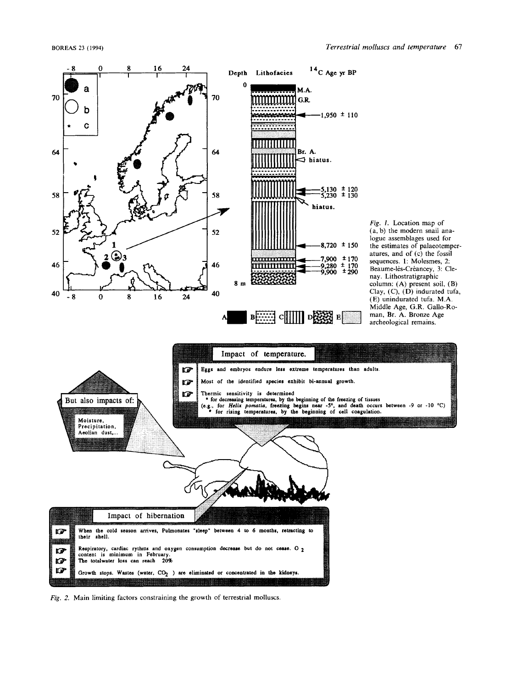

*Fig.* 2. Main limiting factors constraining the growth of terrestrial molluscs.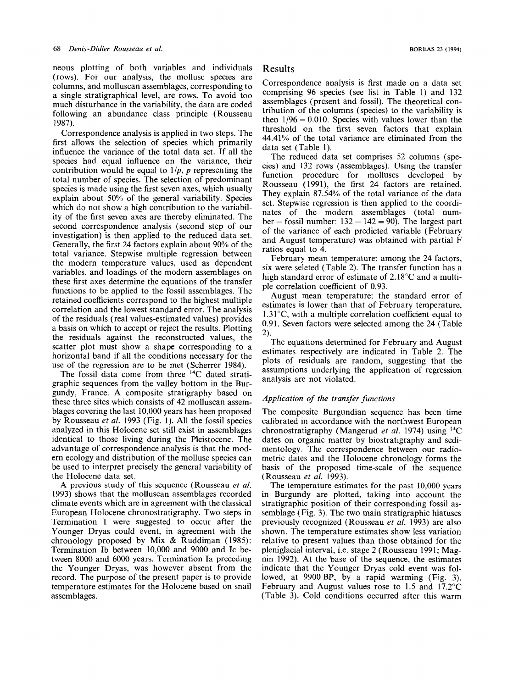neous plotting of both variables and individuals Results (rows). For our analysis, the mollusc species are columns, and molluscan assemblages, corresponding to a single stratigraphical level, are rows. To avoid too much disturbance in the variability, the data are coded following an abundance class principle (Rousseau 1987).

Correspondence analysis is applied in two steps. The first allows the selection of species which primarily influence the variance of the total data set. If all the  $T_{\text{m}}$  and the reduced data set comprises 52 columns (spe-<br>species had equal influence on the variance, their  $\frac{132 \text{ rows}}{2}$  (assemblages) Using the transfer contribution would be equal to  $1/p$ , p representing the which do not show a high contribution to the variabli-<br>ity of the first seven axes are thereby eliminated. The ber - fossil number:  $132 - 142 = 90$ . The largest part total number of species. The selection of predominant species is made using the first seven axes, which usually explain about 50% of the general variability. Species which do not show a high contribution to the variabilsecond correspondence analysis (second step of our investigation) is then applied to the reduced data set. Generally, the first 24 factors explain about 90% of the total variance. Stepwise multiple regression between the modern temperature values, used as dependent variables, and loadings of the modern assemblages on these first axes determine the equations of the transfer functions to be applied to the fossil assemblages. The retained coefficients correspond to the highest multiple correlation and the lowest standard error. The analysis of the residuals (real values-estimated values) provides a basis on which to accept or reject the results. Plotting the residuals against the reconstructed values, the scatter plot must show a shape corresponding to a horizontal band if all the conditions necessary for the

The fossil data come from three  $14C$  dated stratigraphic sequences from the valley bottom in the Burgundy, France. A composite stratigraphy based on these three sites which consists of 42 molluscan assemblages covering the last 10,000 years has been proposed by Rousseau *et al.* 1993 (Fig. 1). All the fossil species analyzed in this Holocene set still exist in assemblages identical to those living during the Pleistocene. The advantage of correspondence analysis is that the modern ecology and distribution of the mollusc species can be used to interpret precisely the general variability of the Holocene data set.

**A** previous study of this sequence (Rousseau *et a/.*  1993) shows that the molluscan assemblages recorded climate events which are in agreement with the classical European Holocene chronostratigraphy. Two steps in Termination I were suggested to occur after the Younger Dryas could event, in agreement with the chronology proposed by Mix & Ruddiman (1985): Termination Ib between 10,000 and 9000 and Ic between 8000 and 6000 years. Termination Ia preceding the Younger Dryas, was however absent from the record. The purpose of the present paper is to provide temperature estimates for the Holocene based on snail assemblages.

Correspondence analysis is first made on a data set comprising 96 species (see list in Table 1) and 132 assemblages (present and fossil). The theoretical contribution of the columns (species) to the variability is then  $1/96 = 0.010$ . Species with values lower than the threshold on the first seven factors that explain 44.41% of the total variance are eliminated from the data set (Table 1).

cies) and 132 rows (assemblages). Using the transfer function procedure for molluscs developed by Rousseau (1991), the first 24 factors are retained. They explain 87.54% of the total variance of the data set. Stepwise regression is then applied to the coordiof the variance of each predicted variable (February and August temperature) was obtained with partial ratios equal to 4.

February mean temperature: among the 24 factors, six were seleted (Table 2). The transfer function has a high standard error of estimate of 2.18<sup>o</sup>C and a multiple correlation coefficient of 0.93.

August mean temperature: the standard error of estimates is lower than that of February temperature,  $1.31^{\circ}$ C, with a multiple correlation coefficient equal to 0.91. Seven factors were selected among the 24 (Table 2).

The equations detemined for February and August estimates respectively are indicated in Table 2. The plots of residuals are random, suggesting that the analysis are not violated, use of the regression are to be met (Scherrer 1984). From the assumptions underlying the application of regression<br>The focal data came from three 14C dated stret: assumptions underlying the application of regression

## *Application of the transfer functions*

The composite Burgundian sequence has been time calibrated in accordance with the northwest European chronostratigraphy (Mangerud *et al.* 1974) using 14C dates on organic matter by biostratigraphy and sedimentology. The correspondence between our radiometric dates and the Holocene chronology forms the basis of the proposed time-scale *of* the sequence (Rousseau *et al.* 1993).

The temperature estimates for the past **10,000** years in Burgundy are plotted, taking into account the stratigraphic position of their corresponding fossil assemblage (Fig. 3). The two main stratigraphic hiatuses previously recognized (Rousseau *et al.* 1993) are also shown. The temperature estimates show less variation relative to present values than those obtained for the pleniglacial interval, i.e. stage 2 (Rousseau 1991; Magnin 1992). At the base of the sequence, the estimates indicate that the Younger Dryas cold event was followed, at 9900 BP, by a rapid warming (Fig. 3). February and August values rose to 1.5 and 17.2"C (Table 3). Cold conditions occurred after this warm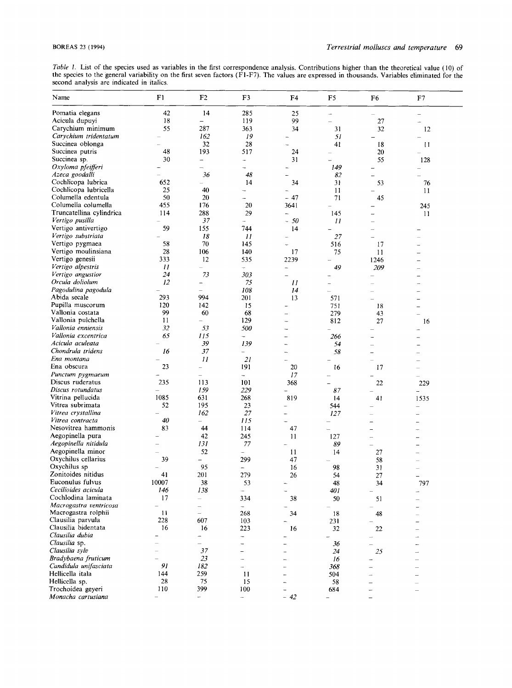*Table 1.* List of the species used as variables in the first correspondence analysis. Contributions higher than the theoretical value (10) of the species to the general variability on the first seven factors (FI-F7). The values are expressed in thousands. Variables eliminated for the second analysis are indicated in italics.

| Name                                     | F1        | F <sub>2</sub>                            | F3                                        | F4                       | F5             | F <sub>6</sub> | F7                       |  |
|------------------------------------------|-----------|-------------------------------------------|-------------------------------------------|--------------------------|----------------|----------------|--------------------------|--|
| Pomatia elegans                          | 42        | 14                                        | 285                                       | 25                       |                | L.             | $\overline{\phantom{a}}$ |  |
| Acicula dupuyi                           | 18        | $\overline{\phantom{0}}$                  | 119                                       | 99                       |                | 27             | ш.                       |  |
| Carychium minimum                        | 55        | 287                                       | 363                                       | 34                       | 31             | 32             | 12                       |  |
| Carychium tridentatum                    |           | 162                                       | 19                                        |                          | 51             |                |                          |  |
| Succinea oblonga                         |           | 32                                        | 28                                        |                          | 41             | 18             | 11                       |  |
| Succinea putris                          | 48        | 193                                       | 517                                       | 24                       |                | 20             |                          |  |
| Succinea sp.                             | 30        | -                                         | ÷.                                        | 31                       |                | 55             | 128                      |  |
| Oxyloma pfeifferi                        |           | $\overline{\phantom{a}}$                  |                                           |                          | 149            |                |                          |  |
| Azeca goodalli<br>Cochlicopa lubrica     | 652       | 36<br>$\overline{a}$                      | 48<br>14                                  |                          | 82             |                |                          |  |
| Cochlicopa lubricella                    | 25        | 40                                        |                                           | 34                       | 31<br>11       | 53             | 76                       |  |
| Columella edentula                       | 50        | 20                                        |                                           | $-47$                    | 71             | 45             | 11                       |  |
| Columella columella                      | 455       | 176                                       | 20                                        | 3641                     | $\overline{a}$ |                | 245                      |  |
| Truncatellina cylindrica                 | 114       | 288                                       | 29                                        | <u>.</u>                 | 145            |                | 11                       |  |
| Vertigo pusilla                          |           | 37                                        | ÷                                         | $-50$                    | 11             |                |                          |  |
| Vertigo antivertigo                      | 59        | 155                                       | 744                                       | 14                       |                |                |                          |  |
| Vertigo substriata                       |           | 18                                        | 11                                        | u.                       | 27             |                |                          |  |
| Vertigo pygmaea                          | 58        | 70                                        | 145                                       | L,                       | 516            | 17             |                          |  |
| Vertigo moulinsiana                      | 28        | 106                                       | 140                                       | 17                       | 75             | 11             |                          |  |
| Vertigo genesii                          | 333       | 12                                        | 535                                       | 2239                     |                | 1246           |                          |  |
| Vertigo alpestris                        | Н         | $\qquad \qquad -$                         | $\overline{\phantom{a}}$                  | $\overline{\phantom{0}}$ | 49             | 209            |                          |  |
| Vertigo angustior                        | 24        | 73                                        | 303                                       | $\overline{\phantom{0}}$ |                |                |                          |  |
| Orcula doliolum                          | 12        | $\overline{\phantom{0}}$                  | 75                                        | $_{II}$                  |                |                |                          |  |
| Pagodulina pagodula                      |           | L.                                        | 108                                       | 14                       |                |                |                          |  |
| Abida secale                             | 293       | 994                                       | 201                                       | 13                       | 571            |                |                          |  |
| Pupilla muscorum<br>Vallonia costata     | 120<br>99 | 142<br>60                                 | 15<br>68                                  |                          | 751            | 18             | $\overline{\phantom{0}}$ |  |
| Vallonia pulchella                       | 11        | $\overline{\phantom{0}}$                  | 129                                       |                          | 279<br>812     | 43<br>27       | 16                       |  |
| Vallonia enniensis                       | 32        | 53                                        | 500                                       |                          |                |                |                          |  |
| Vallonia excentrica                      | 65        | 115                                       | ÷.                                        |                          | 266            |                |                          |  |
| Acicula aculeata                         |           | 39                                        | 139                                       | ÷                        | 54             |                |                          |  |
| Chondrula tridens                        | 16        | 37                                        | $\overline{\phantom{0}}$                  |                          | 58             |                |                          |  |
| Ena montana                              |           | 11                                        | 21                                        | $\sim$                   |                |                |                          |  |
| Ena obscura                              | 23        | $\overline{\phantom{0}}$                  | 191                                       | 20                       | 16             | 17             |                          |  |
| Punctum pygmaeum                         |           | $\overline{\phantom{0}}$                  | ÷.                                        | 17                       |                |                |                          |  |
| Discus ruderatus                         | 235       | 113                                       | 101                                       | 368                      |                | 22             | 229                      |  |
| Discus rotundatus                        |           | 159                                       | 229                                       | ÷,                       | 87             |                | $\frac{1}{2}$            |  |
| Vitrina pellucida                        | 1085      | 631                                       | 268                                       | 819                      | 14             | 41             | 1535                     |  |
| Vitrea subrimata                         | 52        | 195                                       | 23                                        |                          | 544            |                |                          |  |
| Vitrea crystallina                       |           | 162                                       | 27                                        |                          | 127            |                |                          |  |
| Vitrea contracta<br>Nesovitrea hammonis  | 40<br>83  | $\overline{\phantom{0}}$<br>44            | 115<br>114                                | $\sim$<br>47             | L              |                |                          |  |
| Aegopinella pura                         |           | 42                                        | 245                                       | 11                       | 127            |                |                          |  |
| Aegopinella nitidula                     |           | 131                                       | 77                                        |                          | 89             |                |                          |  |
| Aegopinella minor                        |           | 52                                        | ÷.                                        | 11                       | 14             | 27             |                          |  |
| Oxychilus cellarius                      | 39        | $\overline{\phantom{0}}$                  | 299                                       | 47                       |                | 58             |                          |  |
| Oxychilus sp                             |           | 95                                        | $\overline{\phantom{0}}$                  | 16                       | 98             | 31             |                          |  |
| Zonitoides nitidus                       | 41        | 201                                       | 279                                       | 26                       | 54             | $27\,$         |                          |  |
| Euconulus fulvus                         | 10007     | 38                                        | 53                                        | $\overline{\phantom{a}}$ | 48             | 34             | 797                      |  |
| Cecilioides acicula                      | 146       | 138                                       | $\overline{\phantom{a}}$                  |                          | 401            |                | -                        |  |
| Cochlodina laminata                      | 17        | $\overline{\phantom{0}}$                  | 334                                       | 38                       | 50             | 51             |                          |  |
| Macrogastra ventricosa                   |           | $\overline{\phantom{0}}$                  | ÷                                         |                          |                |                |                          |  |
| Macrogastra rolphii                      | 11        | $\overline{\phantom{0}}$                  | 268                                       | 34                       | 18             | 48             |                          |  |
| Clausilia parvula<br>Clausilia bidentata | 228       | 607                                       | 103                                       | $\overline{\phantom{0}}$ | 231            |                |                          |  |
| Clausilia dubia                          | 16        | 16                                        | 223                                       | 16                       | 32             | 22             |                          |  |
| Clausilia sp.                            |           | $\frac{1}{2}$<br>$\overline{\phantom{a}}$ | $\frac{1}{2}$<br>$\overline{\phantom{0}}$ |                          | ÷              |                |                          |  |
| Clausilia sylv                           |           | 37                                        | Ξ.                                        |                          | 36<br>24       | 25             |                          |  |
| Bradybaena fruticum                      |           | 23                                        | $\overline{\phantom{0}}$                  |                          | 16             |                |                          |  |
| Candidula unifasciata                    | 91        | 182                                       | ÷                                         |                          | 368            |                |                          |  |
| Hellicella itala                         | 144       | 259                                       | 11                                        |                          | 504            |                |                          |  |
| Hellicella sp.                           | 28        | 75                                        | 15                                        |                          | 58             |                |                          |  |
| Trochoidea geyeri                        | 110       | 399                                       | 100                                       |                          | 684            |                |                          |  |
| Monacha cartusiana                       | -         | ÷                                         | $\overline{\phantom{0}}$                  | $-42$                    | ÷              |                |                          |  |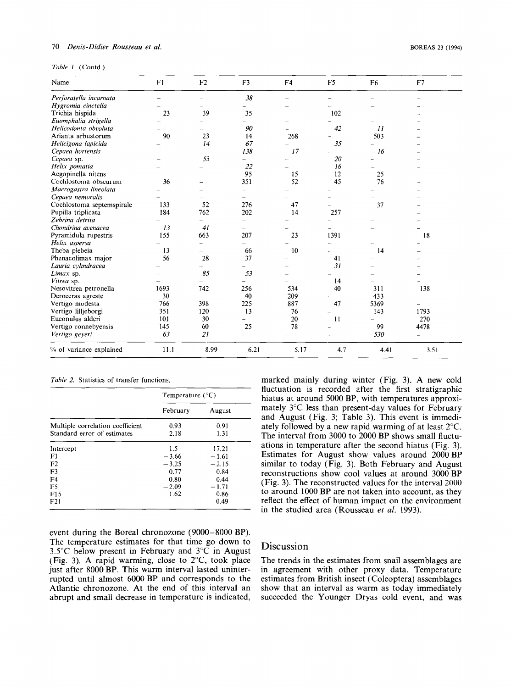### *70 Denis-Didier Rousseau et al.*

|  | Table 1. (Contd.) |
|--|-------------------|
|  |                   |

| Name                      | F1   | F <sub>2</sub>           | F <sub>3</sub>           | F4   | F <sub>5</sub> | F <sub>6</sub> | F7   |
|---------------------------|------|--------------------------|--------------------------|------|----------------|----------------|------|
| Perforatella incarnata    |      |                          | 38                       |      |                |                |      |
| Hygromia cinctella        |      |                          |                          |      |                |                |      |
| Trichia hispida           | 23   | 39                       | 35                       |      | 102            |                |      |
| Euomphalia strigella      |      |                          |                          |      |                |                |      |
| Helicodonta obvoluta      |      |                          | 90                       |      | 42             | $_{II}$        |      |
| Arianta arbustorum        | 90   | 23                       | 14                       | 268  |                | 503            |      |
| Helicigona lapicida       |      | 14                       | 67                       |      | 35             |                |      |
| Cepaea hortensis          |      |                          | 138                      | 17   |                | 16             |      |
| Cepaea sp.                |      | 53                       |                          |      | 20             |                |      |
| Helix pomatia             |      |                          | 22                       |      | 16             |                |      |
| Aegopinella nitens        |      |                          | 95                       | 15   | 12             | 25             |      |
| Cochlostoma obscurum      | 36   |                          | 351                      | 52   | 45             | 76             |      |
| Macrogastra lineolata     |      |                          |                          |      |                |                |      |
| Cepaea nemoralis          |      |                          | $\overline{\phantom{0}}$ |      |                |                |      |
| Cochlostoma septemspirale | 133  | 52                       | 276                      | 47   |                | 37             |      |
| Pupilla triplicata        | 184  | 762                      | 202                      | 14   | 257            |                |      |
| Zebrina detrita           |      | $\overline{\phantom{0}}$ |                          |      |                |                |      |
| Chondrina avenacea        | 13   | 41                       | $\overline{\phantom{0}}$ |      |                |                |      |
| Pyramidula rupestris      | 155  | 663                      | 207                      | 23   | 1391           |                | 18   |
| Helix aspersa             |      |                          |                          |      |                |                |      |
| Theba plebeia             | 13   | $\overline{\phantom{0}}$ | 66                       | 10   |                | 14             |      |
| Phenacolimax major        | 56   | 28                       | 37                       |      | 41             |                |      |
| Lauria cylindracea        |      |                          |                          |      | 31             |                |      |
| Limax sp.                 |      | 85                       | 53                       |      |                |                |      |
| Vitrea sp.                |      |                          | L,                       |      | 14             |                |      |
| Nesovitrea petronella     | 1693 | 742                      | 256                      | 534  | 40             | 311            | 138  |
| Deroceras agreste         | 30   | $\overline{\phantom{0}}$ | 40                       | 209  |                | 433            |      |
| Vertigo modesta           | 766  | 398                      | 225                      | 887  | 47             | 5369           |      |
| Vertigo lilljeborgi       | 351  | 120                      | 13                       | 76   |                | 143            | 1793 |
| Euconulus alderi          | 101  | 30                       | ÷                        | 20   | 11             |                | 270  |
| Vertigo ronnebyensis      | 145  | 60                       | 25                       | 78   |                | 99             | 4478 |
| Vertigo geyeri            | 63   | 21                       |                          |      |                | 530            |      |
| % of variance explained   | 11.1 | 8.99                     | 6.21                     | 5.17 | 4.7            | 4.41           | 3.51 |

*Table* 2. Statistics of transfer functions.

|                                                                 | Temperature $(^{\circ}C)$ |              |  |
|-----------------------------------------------------------------|---------------------------|--------------|--|
|                                                                 | February                  | August       |  |
| Multiple correlation coefficient<br>Standard error of estimates | 0.93<br>2.18              | 0.91<br>1.31 |  |
| Intercept                                                       | 1.5                       | 17.21        |  |
| F1                                                              | $-3.66$                   | $-1.61$      |  |
| F2                                                              | $-3.25$                   | $-2.15$      |  |
| F3                                                              | 0.77                      | 0.84         |  |
| F4                                                              | 0.80                      | 0.44         |  |
| F5                                                              | $-2.09$                   | $-1.71$      |  |
| F15                                                             | 1.62                      | 0.86         |  |
| F21                                                             |                           | 0.49         |  |

hiatus at around 5000 BP, with temperatures approximately 3°C less than present-day values for February and August (Fig. 3; Table 3). This event is immediately followed by a new rapid warming of at least 2°C. The interval from 3000 to 2000 BP shows small fluctuations in temperature after the second hiatus (Fig. 3). Estimates for August show values around 2000 **BP**  similar to today (Fig. 3). Both February and August reconstructions show cool values at around 3000 **BP**  (Fig. 3). The reconstructed values for the interval 2000 to around 1000 BP are not taken into account, as they reflect the effect of human impact on the environment in the studied area (Rousseau *et al.* 1993).

marked mainly during winter (Fig. 3). A new cold fluctuation is recorded after the first stratigraphic

event during the Boreal chronozone (9000-8000 BP). The temperature estimates for that time go down to *3.5"C* below present in February and 3°C in August (Fig. **3).** A rapid warming, close to 2"C, took place just after 8000 BP. This warm interval lasted uninterrupted until almost 6000 BP and corresponds to the Atlantic chronozone. At the end of this interval an abrupt and small decrease in temperature is indicated,

## Discussion

The trends in the estimates from snail assemblages are in agreement with other proxy data. Temperature estimates from British insect (Coleoptera) assemblages show that an interval as warm as today immediately succeeded the Younger Dryas cold event, and was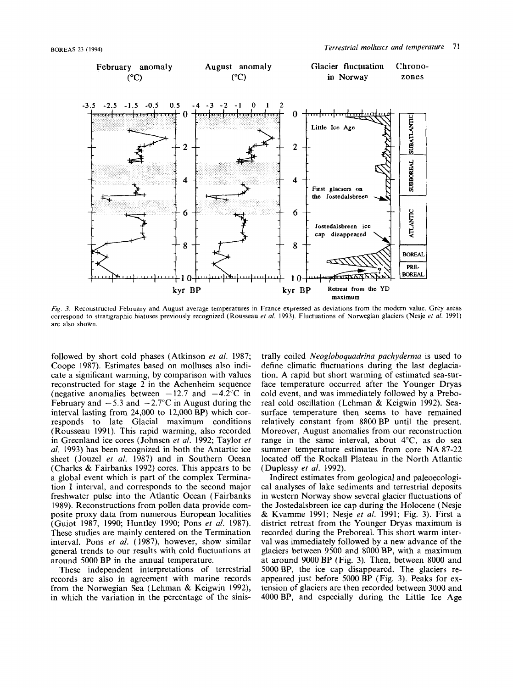

*Fig.* **3.** Reconstructed February and August average temperatures in France expressed as deviations from the modern value. Grey areas correspond to stratigraphic hiatuses previously recognized (Rousseau *et al.* 1993). Fluctuations of Norwegian glaciers **(Nesje** *ef al.* 1991) are also shown

followed by short cold phases (Atkinson *et al.* 1987; Coope 1987). Estimates based on molluscs also indicate a significant warming, by comparison with values reconstructed for stage 2 in the Achenheim sequence (negative anomalies between  $-12.7$  and  $-4.2^{\circ}$ C in February and  $-5.3$  and  $-2.7^{\circ}$ C in August during the interval lasting from 24,000 to 12,000 BP) which corresponds to late Glacial maximum conditions (Rousseau 1991). This rapid warming, also recorded in Greenland ice cores (Johnsen *et al.* 1992; Taylor *et al.* 1993) has been recognized in both the Antartic ice sheet (Jouzel *et al.* 1987) and in Southern Ocean (Charles & Fairbanks 1992) cores. This appears to be a global event which is part of the complex Termination **I** interval, and corresponds to the second major freshwater pulse into the Atlantic Ocean (Fairbanks 1989). Reconstructions from pollen data provide composite proxy data from numerous European localities (Guiot 1987, 1990; Huntley 1990; Pons *et al.* 1987). These studies are mainly centered on the Termination interval. Pons *et al.* (1987), however, show similar general trends to our results with cold fluctuations at around 5000 BP in the annual temperature.

These independent interpretations of terrestrial records are also in agreement with marine records from the Norwegian Sea (Lehman & Keigwin 1992), in which the variation in the percentage of the sinis-

trally coiled *Neogloboquadrina pachyderma* is used to define climatic fluctuations during the last deglaciation. A rapid but short warming of estimated sea-surface temperature occurred after the Younger Dryas cold event, and was immediately followed by a Preboreal cold oscillation (Lehman & Keigwin 1992). Seasurface temperature then seems to have remained relatively constant from 8800 BP until the present. Moreover, August anomalies from our reconstruction range in the same interval, about  $4^{\circ}$ C, as do sea summer temperature estimates from core NA 87-22 located off the Rockall Plateau in the North Atlantic (Duplessy *et al.* 1992).

Indirect estimates from geological and paleoecological analyses of lake sediments and terrestrial deposits in western Norway show several glacier fluctuations of the Jostedalsbreen ice cap during the Holocene (Nesje & Kvamme 1991; Nesje *et al.* 1991; **Fig.** 3). First a district retreat from the Younger Dryas maximum is recorded during the Preboreal. This short warm interval was immediately followed by a new advance of the glaciers between 9500 and 8000 BP, with a maximum at around 9000 BP (Fig. **3).** Then, between 8000 and 5000BP, the ice cap disappeared. The glaciers reappeared just before 5000 BP (Fig. 3). Peaks for extension of glaciers are then recorded between **3000** and 4000BP, and especially during the Little Ice Age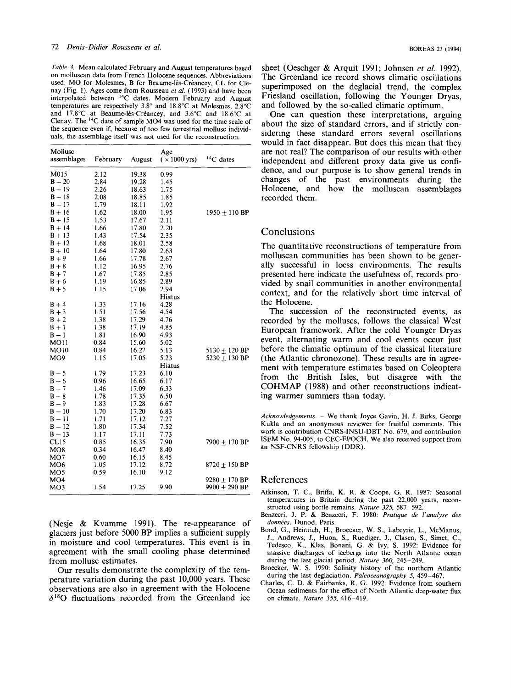*Table 3.* Mean calculated February and August temperatures based on molluscan data from French Holocene sequences. Abbreviations used: MO for Molesmes, B for Beaume-lès-Créancey, CL for Clenay (Fig. 1). Ages come from Rousseau *er al.* (1993) and have been interpolated between <sup>14</sup>C dates. Modern February and August temperatures are respectively 3.8" and 18.8"C at Molesmes, 2.8"C and 17.8°C at Beaume-lés-Crèancey, and 3.6°C and 18.6°C at Clenay. The I4C date of sample M04 was used for the time scale of the sequence even if, because of too few terrestrial mollusc individuals, the assemblage itself was not used for the reconstruction.

| Mollusc<br>assemblages | February | August | Age<br>$(\times 1000 \text{ yrs})$ | $14C$ dates       |
|------------------------|----------|--------|------------------------------------|-------------------|
| M015                   | 2.12     | 19.38  | 0.99                               |                   |
| $B + 20$               | 2.84     | 19.28  | 1.45                               |                   |
| $B + 19$               | 2.26     | 18.63  | 1.75                               |                   |
| $B + 18$               | 2.08     | 18.85  | 1.85                               |                   |
| $B + 17$               | 1.79     | 18.11  | 1.92                               |                   |
| $B + 16$               | 1.62     | 18.00  | 1.95                               | $1950 \pm 110$ BP |
| $B + 15$               | 1.53     | 17.67  | 2.11                               |                   |
| $B + 14$               | 1.66     | 17.80  | 2.20                               |                   |
| $B + 13$               | 1.43     | 17.54  | 2.35                               |                   |
| $B + 12$               | 1.68     | 18.01  | 2.58                               |                   |
| $B+10$                 | 1.64     | 17.80  | 2.63                               |                   |
| $B + 9$                | 1.66     | 17.78  | 2.67                               |                   |
| $B + 8$                | 1.12     | 16.95  | 2.76                               |                   |
| $B + 7$                | 1.67     | 17.85  | 2.85                               |                   |
| $B + 6$                | 1.19     | 16.85  | 2.89                               |                   |
| $B + 5$                | 1.15     | 17.06  | 2.94                               |                   |
|                        |          |        | Hiatus                             |                   |
| $B + 4$                | 1.33     | 17.16  | 4.28                               |                   |
| $B + 3$                | 1.51     | 17.56  | 4.54                               |                   |
| $B + 2$                | 1.38     | 17.29  | 4.76                               |                   |
| $B + 1$                | 1.38     | 17.19  | 4.85                               |                   |
| $B - 1$                | 1.81     | 16.90  | 4.93                               |                   |
| <b>MO11</b>            | 0.84     | 15.60  | 5.02                               |                   |
| MO10                   | 0.84     | 16.27  | 5.13                               | $5130 + 120$ BP   |
| MO9                    | 1.15     | 17.05  | 5.23                               | $5230 + 130$ BP   |
|                        |          |        | Hiatus                             |                   |
| $B - 5$                | 1.79     | 17.23  | 6.10                               |                   |
| $B - 6$                | 0.96     | 16.65  | 6.17                               |                   |
| $B - 7$                | 1.46     | 17.09  | 6.33                               |                   |
| $B - 8$                | 1.78     | 17.35  | 6.50                               |                   |
| $B - 9$                | 1.83     | 17.28  | 6.67                               |                   |
| $B - 10$               | 1.70     | 17.20  | 6.83                               |                   |
| $B - 11$               | 1.71     | 17.12  | 7.27                               |                   |
| $B - 12$               | 1.80     | 17.34  | 7.52                               |                   |
| $B - 13$               | 1.17     | 17.11  | 7.73                               |                   |
| CL15                   | 0.85     | 16.35  | 7.90                               | $7900 + 170$ BP   |
| MO <sub>8</sub>        | 0.34     | 16.47  | 8.40                               |                   |
| MO7                    | 0.60     | 16.15  | 8.45                               |                   |
| MO6                    | 1.05     | 17.12  | 8.72                               | $8720 + 150$ BP   |
| MO5                    | 0.59     | 16.10  | 9.12                               |                   |
| MO4                    |          |        |                                    | 9280 + 170 BP     |
| MO3                    | 1.54     | 17.25  | 9.90                               | $9900 \pm 290$ BP |

(Nesje & Kvamme 1991). The re-appearance of glaciers just before 5000 BP implies a sufficient supply in moisture and cool temperatures. This event is in agreement with the small cooling phase determined from mollusc estimates.

Our results demonstrate the complexity of the temperature variation during the past 10,000 years. These observations are also in agreement with the Holocene  $\delta^{18}$ O fluctuations recorded from the Greenland ice

sheet (Oeschger & Arquit 1991; Johnsen *et al.* 1992). The Greenland ice record shows climatic oscillations superimposed on the deglacial trend, the complex Friesland oscillation, following the Younger Dryas, and followed by the so-called climatic optimum.

One can question these interpretations, arguing about the size of standard errors, and if strictly considering these standard errors several oscillations would in fact disappear. But does this mean that they are not real? The comparison of our results with other independent and different proxy data give us confidence, and our purpose is to show general trends in changes of the past environments during the Holocene, and how the molluscan assemblages recorded them.

## Conclusions

The quantitative reconstructions of temperature from molluscan communities has been shown to be generally successful in loess environments. The results presented here indicate the usefulness of, records provided by snail communities in another environmental context, and for the relatively short time interval of the Holocene.

The succession of the reconstructed events, as recorded by the molluscs, follows the classical West European framework. After the cold Younger Dryas event, alternating warm and cool events occur just before the climatic optimum of the classical literature (the Atlantic chronozone). These results are in agreement with temperature estimates based on Coleoptera from the British Isles, but disagree with the COHMAP ( 1988) and other reconstructions indicating warmer summers than today.

*Acknowledgements.* - We thank Joyce Gavin, H. J. Birks, George Kukla and an anonymous reviewer for fruitful comments. This work is contribution CNRS-INSU-DBT No. 679, and contribution ISEM No. 94-005, to CEC-EPOCH. **We** also received support from an NSF-CNRS fellowship (DDR).

#### References

- Atkinson, **T.** C., Briffa, K. R. & Coope, **G.** R. 1987: Seasonal temperatures in Britain during the past 22,000 years, reconstructed using beetle remains. *Nuture* 325, 587-592.
- Benzecri, J. P. & Benzecri, F. 1980: *Pratique de I'analyse des donnees.* Dunod, Paris.
- Bond, G., Heinrich, **H.,** Broecker, **W. S.,** Labeyrie, L., McManus, J., Andrews, J., Huon, **S.,** Ruediger, J., Clasen, **S.,** Simet, C., Tedesco, K., Klas, Bonani, **G.** & Ivy, **S.** 1992: Evidence for massive discharges of icebergs into the North Atlantic ocean during the last glacial period. *Nurure 360,* 245-249.
- Broecker, W. **S.** 1990: Salinity history of the northern Atlantic during the last deglaciation. *Paleoceanography 5,* 459-467.
- Charles, C. D. & Fairbanks, R. **G.** 1992: Evidence from southern Ocean sediments for the effect of North Atlantic deep-water **flux**  on climate. *Narure 355,* 416-419.